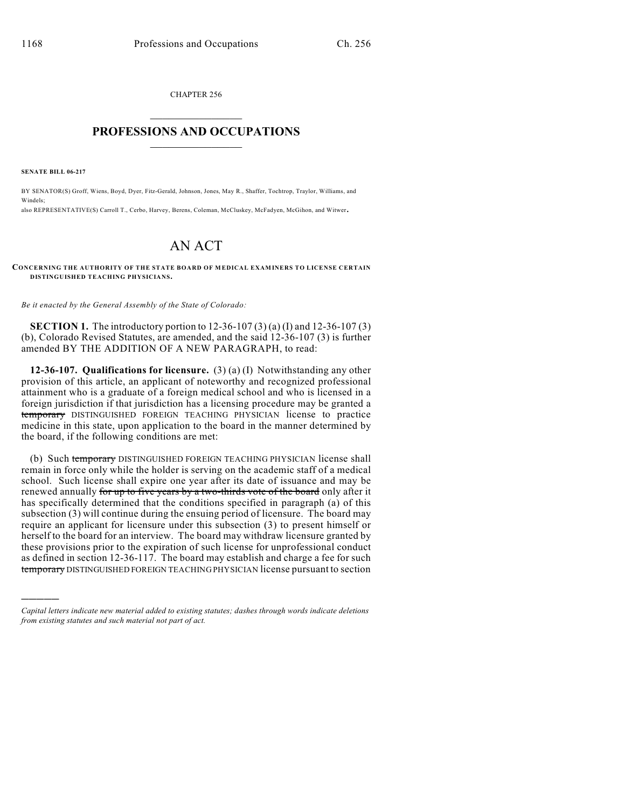CHAPTER 256  $\mathcal{L}_\text{max}$  . The set of the set of the set of the set of the set of the set of the set of the set of the set of the set of the set of the set of the set of the set of the set of the set of the set of the set of the set

## **PROFESSIONS AND OCCUPATIONS**  $\frac{1}{2}$  ,  $\frac{1}{2}$  ,  $\frac{1}{2}$  ,  $\frac{1}{2}$  ,  $\frac{1}{2}$  ,  $\frac{1}{2}$

**SENATE BILL 06-217**

)))))

BY SENATOR(S) Groff, Wiens, Boyd, Dyer, Fitz-Gerald, Johnson, Jones, May R., Shaffer, Tochtrop, Traylor, Williams, and Windels; also REPRESENTATIVE(S) Carroll T., Cerbo, Harvey, Berens, Coleman, McCluskey, McFadyen, McGihon, and Witwer.

## AN ACT

**CONCERNING THE AUTHORITY OF THE STATE BOARD OF MEDICAL EXAMINERS TO LICENSE CERTAIN DISTINGUISHED TEACHING PHYSICIANS.**

*Be it enacted by the General Assembly of the State of Colorado:*

**SECTION 1.** The introductory portion to 12-36-107 (3) (a) (I) and 12-36-107 (3) (b), Colorado Revised Statutes, are amended, and the said 12-36-107 (3) is further amended BY THE ADDITION OF A NEW PARAGRAPH, to read:

**12-36-107. Qualifications for licensure.** (3) (a) (I) Notwithstanding any other provision of this article, an applicant of noteworthy and recognized professional attainment who is a graduate of a foreign medical school and who is licensed in a foreign jurisdiction if that jurisdiction has a licensing procedure may be granted a temporary DISTINGUISHED FOREIGN TEACHING PHYSICIAN license to practice medicine in this state, upon application to the board in the manner determined by the board, if the following conditions are met:

(b) Such temporary DISTINGUISHED FOREIGN TEACHING PHYSICIAN license shall remain in force only while the holder is serving on the academic staff of a medical school. Such license shall expire one year after its date of issuance and may be renewed annually for up to five years by a two-thirds vote of the board only after it has specifically determined that the conditions specified in paragraph (a) of this subsection (3) will continue during the ensuing period of licensure. The board may require an applicant for licensure under this subsection (3) to present himself or herself to the board for an interview. The board may withdraw licensure granted by these provisions prior to the expiration of such license for unprofessional conduct as defined in section 12-36-117. The board may establish and charge a fee for such temporary DISTINGUISHED FOREIGN TEACHING PHYSICIAN license pursuant to section

*Capital letters indicate new material added to existing statutes; dashes through words indicate deletions from existing statutes and such material not part of act.*